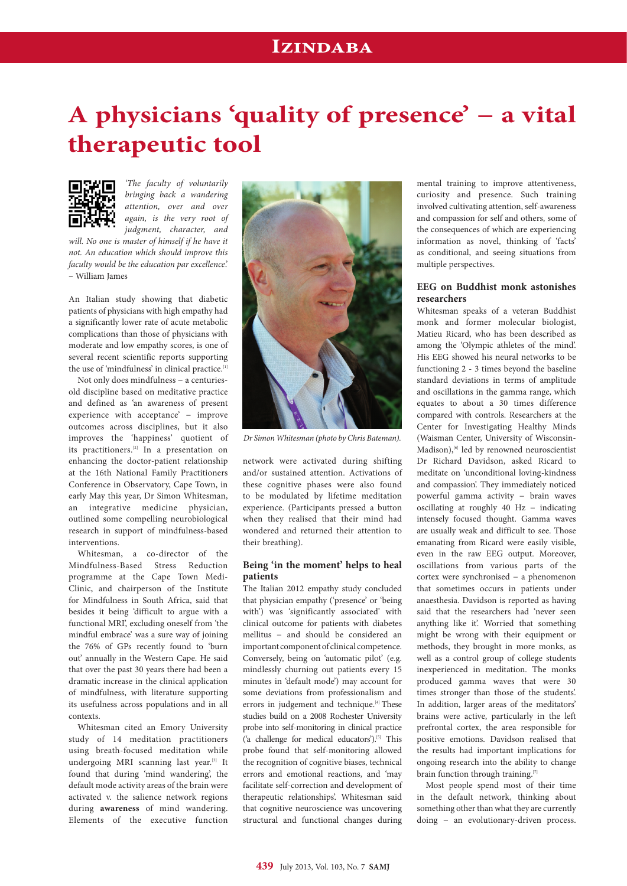## **Izindaba**

# **A physicians 'quality of presence' − a vital therapeutic tool**



*'The faculty of voluntarily bringing back a wandering attention, over and over again, is the very root of judgment, character, and* 

*will. No one is master of himself if he have it not. An education which should improve this faculty would be the education par excellence*.' – William James

An Italian study showing that diabetic patients of physicians with high empathy had a significantly lower rate of acute metabolic complications than those of physicians with moderate and low empathy scores, is one of several recent scientific reports supporting the use of 'mindfulness' in clinical practice.<sup>[1]</sup>

Not only does mindfulness − a centuriesold discipline based on meditative practice and defined as 'an awareness of present experience with acceptance' - improve outcomes across disciplines, but it also improves the 'happiness' quotient of its practitioners.[2] In a presentation on enhancing the doctor-patient relationship at the 16th National Family Practitioners Conference in Observatory, Cape Town, in early May this year, Dr Simon Whitesman, an integrative medicine physician, outlined some compelling neurobiological research in support of mindfulness-based interventions.

Whitesman, a co-director of the Mindfulness-Based Stress Reduction programme at the Cape Town Medi-Clinic, and chairperson of the Institute for Mindfulness in South Africa, said that besides it being 'difficult to argue with a functional MRI', excluding oneself from 'the mindful embrace' was a sure way of joining the 76% of GPs recently found to 'burn out' annually in the Western Cape. He said that over the past 30 years there had been a dramatic increase in the clinical application of mindfulness, with literature supporting its usefulness across populations and in all contexts.

Whitesman cited an Emory University study of 14 meditation practitioners using breath-focused meditation while undergoing MRI scanning last year.<sup>[3]</sup> It found that during 'mind wandering', the default mode activity areas of the brain were activated v. the salience network regions during **awareness** of mind wandering. Elements of the executive function



*Dr Simon Whitesman (photo by Chris Bateman).*

network were activated during shifting and/or sustained attention. Activations of these cognitive phases were also found to be modulated by lifetime meditation experience. (Participants pressed a button when they realised that their mind had wondered and returned their attention to their breathing).

#### **Being 'in the moment' helps to heal patients**

The Italian 2012 empathy study concluded that physician empathy ('presence' or 'being with') was 'significantly associated' with clinical outcome for patients with diabetes mellitus − and should be considered an important component of clinical competence. Conversely, being on 'automatic pilot' (e.g. mindlessly churning out patients every 15 minutes in 'default mode') may account for some deviations from professionalism and errors in judgement and technique.<sup>[4]</sup> These studies build on a 2008 Rochester University probe into self-monitoring in clinical practice ('a challenge for medical educators').<sup>[5]</sup> This probe found that self-monitoring allowed the recognition of cognitive biases, technical errors and emotional reactions, and 'may facilitate self-correction and development of therapeutic relationships'. Whitesman said that cognitive neuroscience was uncovering structural and functional changes during

mental training to improve attentiveness, curiosity and presence. Such training involved cultivating attention, self-awareness and compassion for self and others, some of the consequences of which are experiencing information as novel, thinking of 'facts' as conditional, and seeing situations from multiple perspectives.

### **EEG on Buddhist monk astonishes researchers**

Whitesman speaks of a veteran Buddhist monk and former molecular biologist, Matieu Ricard, who has been described as among the 'Olympic athletes of the mind'. His EEG showed his neural networks to be functioning 2 - 3 times beyond the baseline standard deviations in terms of amplitude and oscillations in the gamma range, which equates to about a 30 times difference compared with controls. Researchers at the Center for Investigating Healthy Minds (Waisman Center, University of Wisconsin-Madison),<sup>[6]</sup> led by renowned neuroscientist Dr Richard Davidson, asked Ricard to meditate on 'unconditional loving-kindness and compassion'. They immediately noticed powerful gamma activity − brain waves oscillating at roughly 40 Hz − indicating intensely focused thought. Gamma waves are usually weak and difficult to see. Those emanating from Ricard were easily visible, even in the raw EEG output. Moreover, oscillations from various parts of the cortex were synchronised − a phenomenon that sometimes occurs in patients under anaesthesia. Davidson is reported as having said that the researchers had 'never seen anything like it'. Worried that something might be wrong with their equipment or methods, they brought in more monks, as well as a control group of college students inexperienced in meditation. The monks produced gamma waves that were 30 times stronger than those of the students'. In addition, larger areas of the meditators' brains were active, particularly in the left prefrontal cortex, the area responsible for positive emotions. Davidson realised that the results had important implications for ongoing research into the ability to change brain function through training.<sup>[7]</sup>

Most people spend most of their time in the default network, thinking about something other than what they are currently doing − an evolutionary-driven process.